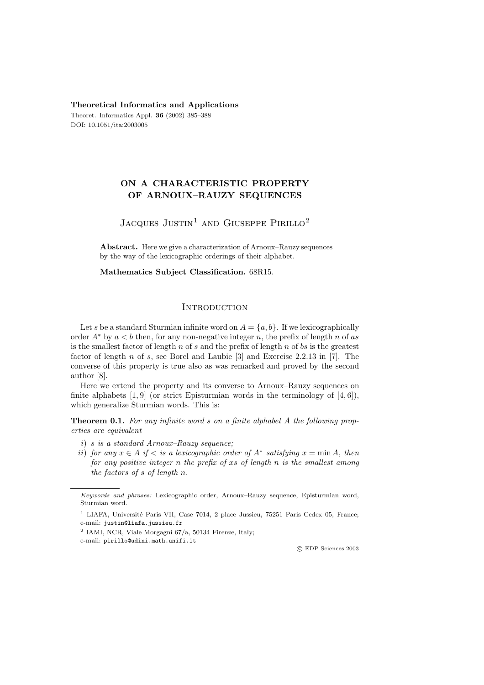#### **Theoretical Informatics and Applications**

Theoret. Informatics Appl. **36** (2002) 385–388 DOI: 10.1051/ita:2003005

## **ON A CHARACTERISTIC PROPERTY OF ARNOUX–RAUZY SEQUENCES**

# JACQUES JUSTIN<sup>1</sup> AND GIUSEPPE PIRILLO<sup>2</sup>

**Abstract.** Here we give a characterization of Arnoux–Rauzy sequences by the way of the lexicographic orderings of their alphabet.

**Mathematics Subject Classification.** 68R15.

## **INTRODUCTION**

Let s be a standard Sturmian infinite word on  $A = \{a, b\}$ . If we lexicographically order  $A^*$  by  $a < b$  then, for any non-negative integer n, the prefix of length n of as is the smallest factor of length  $n$  of  $s$  and the prefix of length  $n$  of  $bs$  is the greatest factor of length  $n$  of  $s$ , see Borel and Laubie  $[3]$  and Exercise 2.2.13 in  $[7]$ . The converse of this property is true also as was remarked and proved by the second author [8].

Here we extend the property and its converse to Arnoux–Rauzy sequences on finite alphabets  $[1, 9]$  (or strict Episturmian words in the terminology of  $[4, 6]$ ), which generalize Sturmian words. This is:

**Theorem 0.1.** *For any infinite word* s *on a finite alphabet* A *the following properties are equivalent*

- i) s *is a standard Arnoux–Rauzy sequence;*
- ii) *for any*  $x \in A$  *if*  $\langle$  *is a lexicographic order of*  $A^*$  *satisfying*  $x = \min A$ *, then for any positive integer* n *the prefix of* xs *of length* n *is the smallest among the factors of* s *of length* n*.*

c EDP Sciences 2003

Keywords and phrases: Lexicographic order, Arnoux–Rauzy sequence, Episturmian word, Sturmian word.

<sup>&</sup>lt;sup>1</sup> LIAFA, Université Paris VII, Case 7014, 2 place Jussieu, 75251 Paris Cedex 05, France; e-mail: justin@liafa.jussieu.fr

<sup>2</sup> IAMI, NCR, Viale Morgagni 67/a, 50134 Firenze, Italy;

e-mail: pirillo@udini.math.unifi.it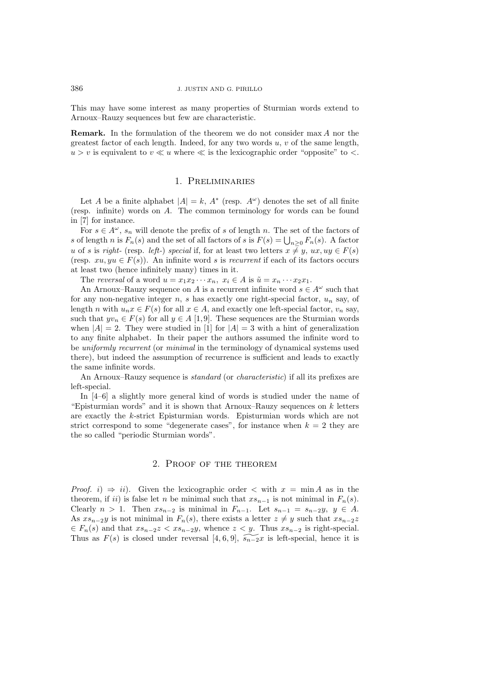This may have some interest as many properties of Sturmian words extend to Arnoux–Rauzy sequences but few are characteristic.

**Remark.** In the formulation of the theorem we do not consider max A nor the greatest factor of each length. Indeed, for any two words  $u, v$  of the same length,  $u > v$  is equivalent to  $v \ll u$  where  $\ll$  is the lexicographic order "opposite" to <.

## 1. Preliminaries

Let A be a finite alphabet  $|A| = k$ ,  $A^*$  (resp.  $A^{\omega}$ ) denotes the set of all finite (resp. infinite) words on A. The common terminology for words can be found in [7] for instance.

For  $s \in A^{\omega}$ ,  $s_n$  will denote the prefix of s of length n. The set of the factors of s of length n is  $F_n(s)$  and the set of all factors of s is  $F(s) = \bigcup_{n \geq 0} F_n(s)$ . A factor u of s is *right*- (resp. *left*-) *special* if, for at least two letters  $x \neq y$ ,  $ux, uy \in F(s)$ (resp.  $xu, yu \in F(s)$ ). An infinite word s is *recurrent* if each of its factors occurs at least two (hence infinitely many) times in it.

The *reversal* of a word  $u = x_1 x_2 \cdots x_n$ ,  $x_i \in A$  is  $\tilde{u} = x_n \cdots x_2 x_1$ .

An Arnoux–Rauzy sequence on A is a recurrent infinite word  $s \in A^{\omega}$  such that for any non-negative integer n, s has exactly one right-special factor,  $u_n$  say, of length n with  $u_n x \in F(s)$  for all  $x \in A$ , and exactly one left-special factor,  $v_n$  say, such that  $yv_n \in F(s)$  for all  $y \in A$  [1,9]. These sequences are the Sturmian words when  $|A| = 2$ . They were studied in [1] for  $|A| = 3$  with a hint of generalization to any finite alphabet. In their paper the authors assumed the infinite word to be *uniformly recurrent* (or *minimal* in the terminology of dynamical systems used there), but indeed the assumption of recurrence is sufficient and leads to exactly the same infinite words.

An Arnoux–Rauzy sequence is *standard* (or *characteristic*) if all its prefixes are left-special.

In [4–6] a slightly more general kind of words is studied under the name of "Episturmian words" and it is shown that Arnoux–Rauzy sequences on  $k$  letters are exactly the k-strict Episturmian words. Episturmian words which are not strict correspond to some "degenerate cases", for instance when  $k = 2$  they are the so called "periodic Sturmian words".

### 2. Proof of the theorem

*Proof.*  $i) \Rightarrow ii$ . Given the lexicographic order  $\lt$  with  $x = \min A$  as in the theorem, if ii) is false let n be minimal such that  $xs_{n-1}$  is not minimal in  $F_n(s)$ . Clearly  $n > 1$ . Then  $xs_{n-2}$  is minimal in  $F_{n-1}$ . Let  $s_{n-1} = s_{n-2}y, y \in A$ . As  $xs_{n-2}y$  is not minimal in  $F_n(s)$ , there exists a letter  $z \neq y$  such that  $xs_{n-2}z$  $\in F_n(s)$  and that  $xs_{n-2}z < xs_{n-2}y$ , whence  $z < y$ . Thus  $xs_{n-2}$  is right-special. Thus as  $F(s)$  is closed under reversal [4, 6, 9],  $\widetilde{s_{n-2}}x$  is left-special, hence it is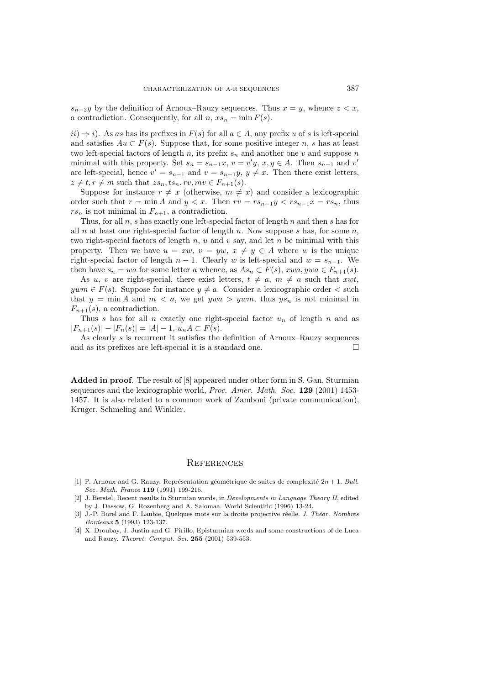$s_{n-2}y$  by the definition of Arnoux–Rauzy sequences. Thus  $x = y$ , whence  $z < x$ , a contradiction. Consequently, for all  $n, xs_n = \min F(s)$ .

 $ii) \Rightarrow i$ . As as has its prefixes in  $F(s)$  for all  $a \in A$ , any prefix u of s is left-special and satisfies  $Au \subset F(s)$ . Suppose that, for some positive integer n, s has at least two left-special factors of length n, its prefix  $s_n$  and another one v and suppose n minimal with this property. Set  $s_n = s_{n-1}x$ ,  $v = v'y$ ,  $x, y \in A$ . Then  $s_{n-1}$  and  $v'$ are left-special, hence  $v' = s_{n-1}$  and  $v = s_{n-1}y, y \neq x$ . Then there exist letters,  $z \neq t, r \neq m$  such that  $zs_n, ts_n, rv, mv \in F_{n+1}(s)$ .

Suppose for instance  $r \neq x$  (otherwise,  $m \neq x$ ) and consider a lexicographic order such that  $r = \min A$  and  $y < x$ . Then  $rv = rs_{n-1}y < rs_{n-1}x = rs_n$ , thus  $rs_n$  is not minimal in  $F_{n+1}$ , a contradiction.

Thus, for all  $n$ , s has exactly one left-special factor of length  $n$  and then s has for all n at least one right-special factor of length n. Now suppose s has, for some  $n$ , two right-special factors of length  $n, u$  and  $v$  say, and let  $n$  be minimal with this property. Then we have  $u = xw$ ,  $v = yw$ ,  $x \neq y \in A$  where w is the unique right-special factor of length  $n-1$ . Clearly w is left-special and  $w = s_{n-1}$ . We then have  $s_n = wa$  for some letter a whence, as  $As_n \subset F(s)$ ,  $xwa, ywa \in F_{n+1}(s)$ .

As u, v are right-special, there exist letters,  $t \neq a$ ,  $m \neq a$  such that xwt,  $ywm \in F(s)$ . Suppose for instance  $y \neq a$ . Consider a lexicographic order  $\lt$  such that  $y = \min A$  and  $m < a$ , we get ywa  $> ywm$ , thus  $ys_n$  is not minimal in  $F_{n+1}(s)$ , a contradiction.

Thus s has for all n exactly one right-special factor  $u_n$  of length n and as  $|F_{n+1}(s)|-|F_n(s)| = |A| - 1, u_nA \subset F(s).$ 

As clearly s is recurrent it satisfies the definition of Arnoux–Rauzy sequences and as its prefixes are left-special it is a standard one.  $\Box$ 

**Added in proof**. The result of [8] appeared under other form in S. Gan, Sturmian sequences and the lexicographic world, *Proc. Amer. Math. Soc.* **129** (2001) 1453- 1457. It is also related to a common work of Zamboni (private communication), Kruger, Schmeling and Winkler.

#### **REFERENCES**

- [1] P. Arnoux and G. Rauzy, Représentation géométrique de suites de complexité  $2n + 1$ . Bull. Soc. Math. France **119** (1991) 199-215.
- [2] J. Berstel, Recent results in Sturmian words, in Developments in Language Theory II, edited by J. Dassow, G. Rozenberg and A. Salomaa. World Scientific (1996) 13-24.
- [3] J.-P. Borel and F. Laubie, Quelques mots sur la droite projective réelle. J. Théor. Nombres Bordeaux **5** (1993) 123-137.
- [4] X. Droubay, J. Justin and G. Pirillo, Episturmian words and some constructions of de Luca and Rauzy. Theoret. Comput. Sci. **255** (2001) 539-553.